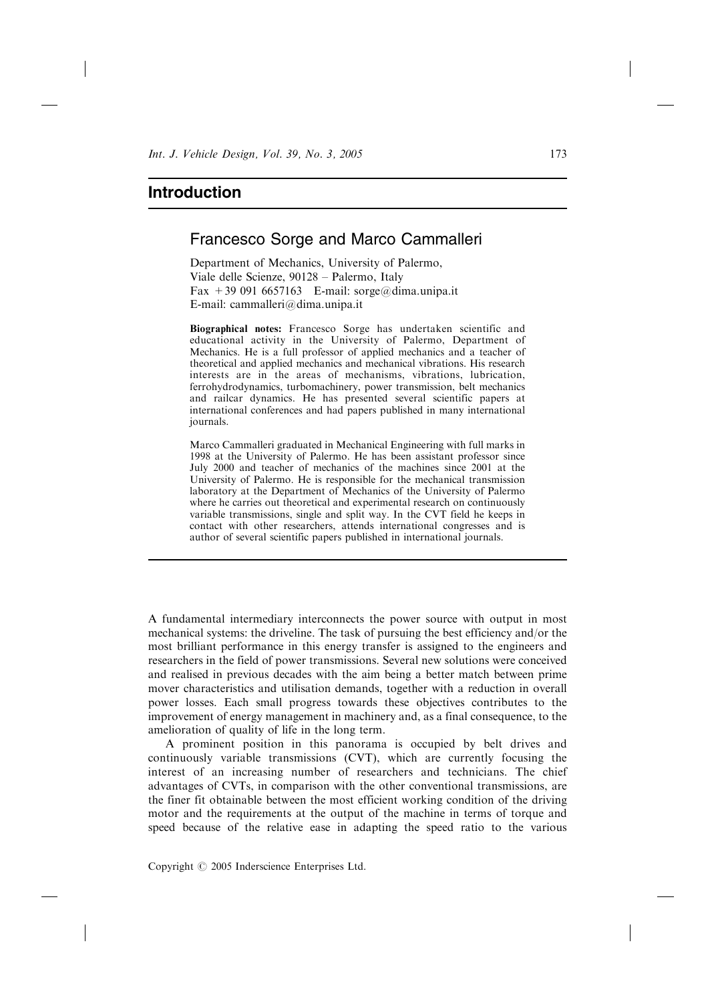## Introduction

## Francesco Sorge and Marco Cammalleri

Department of Mechanics, University of Palermo, Viale delle Scienze, 90128 - Palermo, Italy Fax  $+390916657163$  E-mail: sorge@dima.unipa.it E-mail: cammalleri@dima.unipa.it

Biographical notes: Francesco Sorge has undertaken scientific and educational activity in the University of Palermo, Department of Mechanics. He is a full professor of applied mechanics and a teacher of theoretical and applied mechanics and mechanical vibrations. His research interests are in the areas of mechanisms, vibrations, lubrication, ferrohydrodynamics, turbomachinery, power transmission, belt mechanics and railcar dynamics. He has presented several scientific papers at international conferences and had papers published in many international journals.

Marco Cammalleri graduated in Mechanical Engineering with full marks in 1998 at the University of Palermo. He has been assistant professor since July 2000 and teacher of mechanics of the machines since 2001 at the University of Palermo. He is responsible for the mechanical transmission laboratory at the Department of Mechanics of the University of Palermo where he carries out theoretical and experimental research on continuously variable transmissions, single and split way. In the CVT field he keeps in contact with other researchers, attends international congresses and is author of several scientific papers published in international journals.

A fundamental intermediary interconnects the power source with output in most mechanical systems: the driveline. The task of pursuing the best efficiency and/or the most brilliant performance in this energy transfer is assigned to the engineers and researchers in the field of power transmissions. Several new solutions were conceived and realised in previous decades with the aim being a better match between prime mover characteristics and utilisation demands, together with a reduction in overall power losses. Each small progress towards these objectives contributes to the improvement of energy management in machinery and, as a final consequence, to the amelioration of quality of life in the long term.

A prominent position in this panorama is occupied by belt drives and continuously variable transmissions (CVT), which are currently focusing the interest of an increasing number of researchers and technicians. The chief advantages of CVTs, in comparison with the other conventional transmissions, are the finer fit obtainable between the most efficient working condition of the driving motor and the requirements at the output of the machine in terms of torque and speed because of the relative ease in adapting the speed ratio to the various

Copyright  $\odot$  2005 Inderscience Enterprises Ltd.